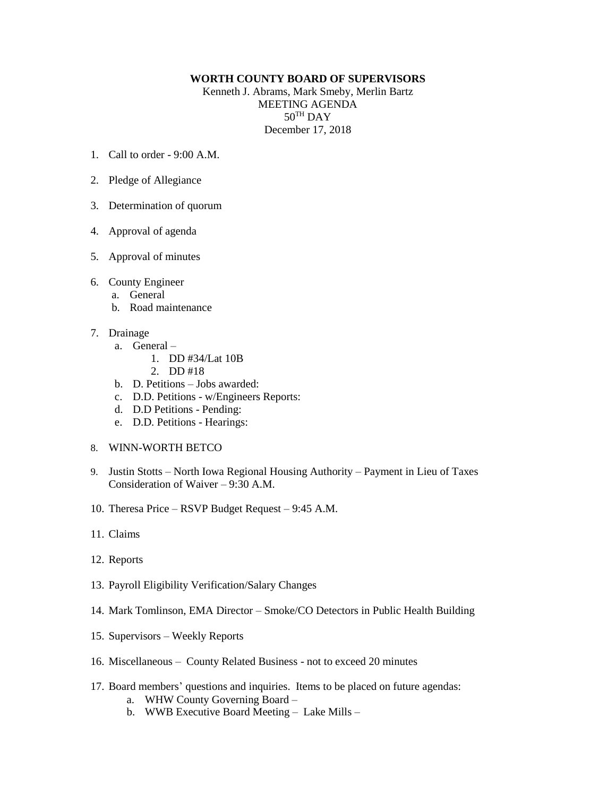## **WORTH COUNTY BOARD OF SUPERVISORS**

Kenneth J. Abrams, Mark Smeby, Merlin Bartz MEETING AGENDA  $50^{\text{TH}}$  DAY December 17, 2018

- 1. Call to order 9:00 A.M.
- 2. Pledge of Allegiance
- 3. Determination of quorum
- 4. Approval of agenda
- 5. Approval of minutes
- 6. County Engineer
	- a. General
	- b. Road maintenance
- 7. Drainage
	- a. General
		- 1. DD #34/Lat 10B
			- 2. DD #18
	- b. D. Petitions Jobs awarded:
	- c. D.D. Petitions w/Engineers Reports:
	- d. D.D Petitions Pending:
	- e. D.D. Petitions Hearings:
- 8. WINN-WORTH BETCO
- 9. Justin Stotts North Iowa Regional Housing Authority Payment in Lieu of Taxes Consideration of Waiver – 9:30 A.M.
- 10. Theresa Price RSVP Budget Request 9:45 A.M.
- 11. Claims
- 12. Reports
- 13. Payroll Eligibility Verification/Salary Changes
- 14. Mark Tomlinson, EMA Director Smoke/CO Detectors in Public Health Building
- 15. Supervisors Weekly Reports
- 16. Miscellaneous County Related Business not to exceed 20 minutes
- 17. Board members' questions and inquiries. Items to be placed on future agendas:
	- a. WHW County Governing Board –
	- b. WWB Executive Board Meeting Lake Mills –